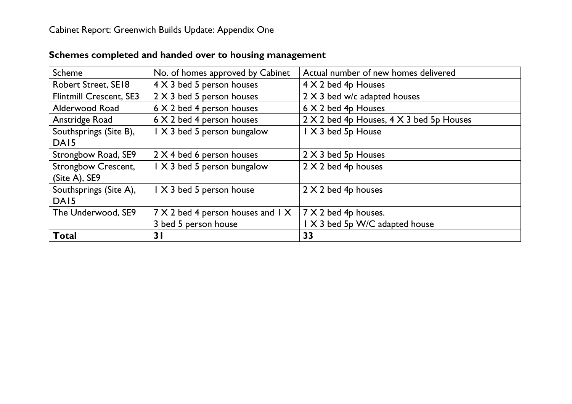| Scheme                         | Actual number of new homes delivered<br>No. of homes approved by Cabinet |                                |
|--------------------------------|--------------------------------------------------------------------------|--------------------------------|
| <b>Robert Street, SE18</b>     | 4 X 3 bed 5 person houses                                                | 4 X 2 bed 4p Houses            |
| <b>Flintmill Crescent, SE3</b> | 2 X 3 bed 5 person houses<br>2 X 3 bed w/c adapted houses                |                                |
| Alderwood Road                 | 6 X 2 bed 4 person houses                                                | 6 X 2 bed 4p Houses            |
| Anstridge Road                 | 6 X 2 bed 4 person houses<br>2 X 2 bed 4p Houses, 4 X 3 bed 5p Houses    |                                |
| Southsprings (Site B),         | I X 3 bed 5 person bungalow                                              | I X 3 bed 5p House             |
| DA <sub>15</sub>               |                                                                          |                                |
| Strongbow Road, SE9            | 2 X 4 bed 6 person houses                                                | $2 \times 3$ bed 5p Houses     |
| <b>Strongbow Crescent,</b>     | I X 3 bed 5 person bungalow                                              | $2 \times 2$ bed 4p houses     |
| (Site A), SE9                  |                                                                          |                                |
| Southsprings (Site A),         | I X 3 bed 5 person house                                                 | $2 \times 2$ bed 4p houses     |
| DA <sub>15</sub>               |                                                                          |                                |
| The Underwood, SE9             | 7 X 2 bed 4 person houses and 1 X                                        | $7 \times 2$ bed 4p houses.    |
|                                | 3 bed 5 person house                                                     | I X 3 bed 5p W/C adapted house |
| <b>Total</b>                   | 31                                                                       | 33                             |

# **Schemes completed and handed over to housing management**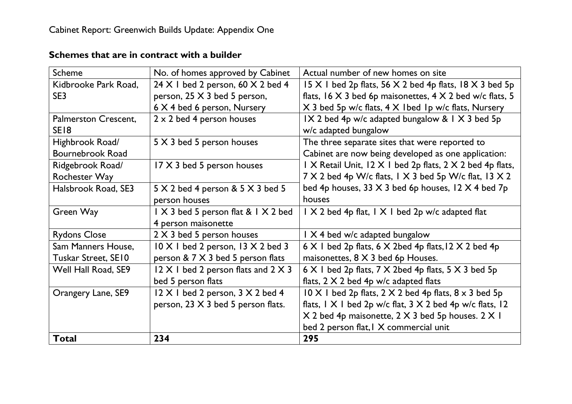| Scheme               | No. of homes approved by Cabinet                  | Actual number of new homes on site                                         |
|----------------------|---------------------------------------------------|----------------------------------------------------------------------------|
| Kidbrooke Park Road, | $24 \times 1$ bed 2 person, 60 $\times$ 2 bed 4   | 15 X 1 bed 2p flats, 56 X 2 bed 4p flats, 18 X 3 bed 5p                    |
| SE3                  | person, 25 X 3 bed 5 person,                      | flats, $16 \times 3$ bed 6p maisonettes, $4 \times 2$ bed w/c flats, 5     |
|                      | 6 X 4 bed 6 person, Nursery                       | X 3 bed 5p w/c flats, 4 X 1bed 1p w/c flats, Nursery                       |
| Palmerston Crescent, | $2 \times 2$ bed 4 person houses                  | IX 2 bed 4p w/c adapted bungalow & IX 3 bed 5p                             |
| SE <sub>18</sub>     |                                                   | w/c adapted bungalow                                                       |
| Highbrook Road/      | 5 X 3 bed 5 person houses                         | The three separate sites that were reported to                             |
| Bournebrook Road     |                                                   | Cabinet are now being developed as one application:                        |
| Ridgebrook Road/     | 17 X 3 bed 5 person houses                        | I X Retail Unit, I2 X I bed 2p flats, 2 X 2 bed 4p flats,                  |
| Rochester Way        |                                                   | $7 \times 2$ bed 4p W/c flats, 1 $\times$ 3 bed 5p W/c flat, 13 $\times$ 2 |
| Halsbrook Road, SE3  | $5 \times 2$ bed 4 person & $5 \times 3$ bed 5    | bed 4p houses, 33 $\times$ 3 bed 6p houses, 12 $\times$ 4 bed 7p           |
|                      | person houses                                     | houses                                                                     |
| Green Way            | $1 \times 3$ bed 5 person flat & $1 \times 2$ bed | $\vert$ X 2 bed 4p flat, $\vert$ X $\vert$ bed 2p w/c adapted flat         |
|                      | 4 person maisonette                               |                                                                            |
| <b>Rydons Close</b>  | 2 X 3 bed 5 person houses                         | $\frac{1}{1}$ X 4 bed w/c adapted bungalow                                 |
| Sam Manners House,   | $10 \times 1$ bed 2 person, 13 $\times$ 2 bed 3   | $6 \times 1$ bed 2p flats, $6 \times 2$ bed 4p flats, $12 \times 2$ bed 4p |
| Tuskar Street, SE10  | person & 7 X 3 bed 5 person flats                 | maisonettes, $8 \times 3$ bed 6p Houses.                                   |
| Well Hall Road, SE9  | $12 \times 1$ bed 2 person flats and $2 \times 3$ | $6 \times 1$ bed 2p flats, 7 X 2bed 4p flats, 5 X 3 bed 5p                 |
|                      | bed 5 person flats                                | flats, $2 \times 2$ bed 4p w/c adapted flats                               |
| Orangery Lane, SE9   | $12 \times 1$ bed 2 person, $3 \times 2$ bed 4    | $10 \times 1$ bed 2p flats, 2 $\times$ 2 bed 4p flats, 8 $\times$ 3 bed 5p |
|                      | person, 23 X 3 bed 5 person flats.                | flats, $ X $ bed 2p w/c flat, $3 \times 2$ bed 4p w/c flats, $ 2 $         |
|                      |                                                   | X 2 bed 4p maisonette, 2 X 3 bed 5p houses. 2 X 1                          |
|                      |                                                   | bed 2 person flat, I X commercial unit                                     |
| <b>Total</b>         | 234                                               | 295                                                                        |

#### **Schemes that are in contract with a builder**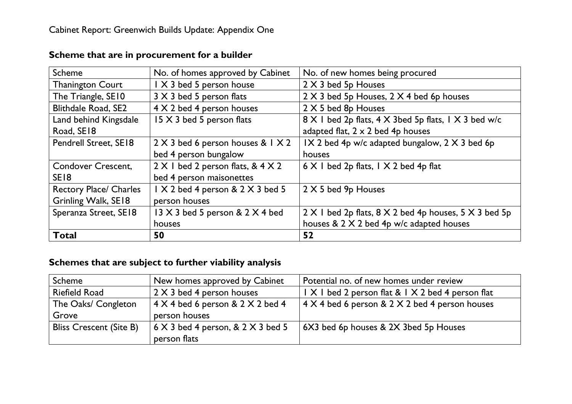| Scheme                        | No. of homes approved by Cabinet                                     | No. of new homes being procured                                            |
|-------------------------------|----------------------------------------------------------------------|----------------------------------------------------------------------------|
| <b>Thanington Court</b>       | I X 3 bed 5 person house<br>2 X 3 bed 5p Houses                      |                                                                            |
| The Triangle, SE10            | 2 X 3 bed 5p Houses, 2 X 4 bed 6p houses<br>3 X 3 bed 5 person flats |                                                                            |
| <b>Blithdale Road, SE2</b>    | 4 X 2 bed 4 person houses                                            | 2 X 5 bed 8p Houses                                                        |
| Land behind Kingsdale         | 15 X 3 bed 5 person flats                                            | 8 X I bed 2p flats, 4 X 3bed 5p flats, 1 X 3 bed w/c                       |
| Road, SE18                    | adapted flat, $2 \times 2$ bed 4p houses                             |                                                                            |
| Pendrell Street, SE18         | $2 \times 3$ bed 6 person houses & $1 \times 2$                      | $IX$ 2 bed 4p w/c adapted bungalow, 2 $X$ 3 bed 6p                         |
|                               | bed 4 person bungalow                                                | houses                                                                     |
| <b>Condover Crescent,</b>     | $2 \times 1$ bed 2 person flats, & 4 $\times$ 2                      | $6 \times 1$ bed 2p flats, $1 \times 2$ bed 4p flat                        |
| SE <sub>18</sub>              | bed 4 person maisonettes                                             |                                                                            |
| <b>Rectory Place/ Charles</b> | I X 2 bed 4 person & 2 X 3 bed 5                                     | $2 \times 5$ bed 9p Houses                                                 |
| Grinling Walk, SE18           | person houses                                                        |                                                                            |
| Speranza Street, SE18         | $13 \times 3$ bed 5 person & 2 $\times$ 4 bed                        | $2 \times 1$ bed 2p flats, $8 \times 2$ bed 4p houses, $5 \times 3$ bed 5p |
|                               | houses                                                               | houses & 2 X 2 bed 4p w/c adapted houses                                   |
| <b>Total</b>                  | 50                                                                   | 52                                                                         |

## **Scheme that are in procurement for a builder**

## **Schemes that are subject to further viability analysis**

| Scheme                         | New homes approved by Cabinet                                                  | Potential no. of new homes under review                |
|--------------------------------|--------------------------------------------------------------------------------|--------------------------------------------------------|
| <b>Riefield Road</b>           | 2 X 3 bed 4 person houses<br>I X I bed 2 person flat & I X 2 bed 4 person flat |                                                        |
| The Oaks/ Congleton            | $4 \times 4$ bed 6 person & 2 $\times$ 2 bed 4                                 | $\vert$ 4 X 4 bed 6 person & 2 X 2 bed 4 person houses |
| Grove                          | person houses                                                                  |                                                        |
| <b>Bliss Crescent (Site B)</b> | $6 \times 3$ bed 4 person, & 2 $\times$ 3 bed 5                                | 6X3 bed 6p houses & 2X 3bed 5p Houses                  |
|                                | person flats                                                                   |                                                        |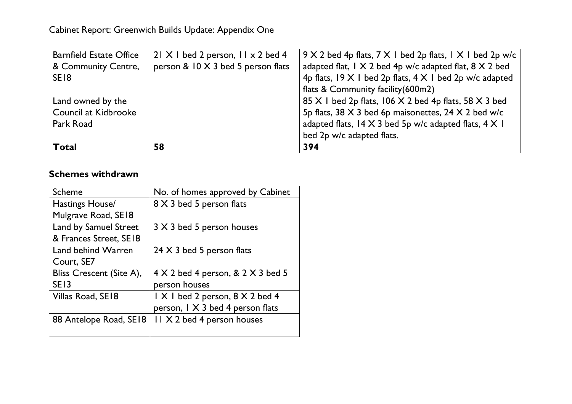| <b>Total</b>                   | 58                                              | bed 2p w/c adapted flats.<br>394                                              |
|--------------------------------|-------------------------------------------------|-------------------------------------------------------------------------------|
| Park Road                      |                                                 | adapted flats, 14 X 3 bed 5p w/c adapted flats, 4 X 1                         |
| Council at Kidbrooke           |                                                 | 5p flats, 38 X 3 bed 6p maisonettes, 24 X 2 bed w/c                           |
| Land owned by the              |                                                 | 85 X I bed 2p flats, 106 X 2 bed 4p flats, 58 X 3 bed                         |
|                                |                                                 | flats & Community facility (600m2)                                            |
| SE <sub>18</sub>               |                                                 | 4p flats, $19 \times 1$ bed 2p flats, $4 \times 1$ bed 2p w/c adapted         |
| & Community Centre,            | person & 10 X 3 bed 5 person flats              | adapted flat, $1 \times 2$ bed 4p w/c adapted flat, $8 \times 2$ bed          |
| <b>Barnfield Estate Office</b> | $21 \times 1$ bed 2 person, $11 \times 2$ bed 4 | $9 \times 2$ bed 4p flats, $7 \times 1$ bed 2p flats, $1 \times 1$ bed 2p w/c |

#### **Schemes withdrawn**

| <b>Scheme</b>                | No. of homes approved by Cabinet                |
|------------------------------|-------------------------------------------------|
| Hastings House/              | 8 X 3 bed 5 person flats                        |
| Mulgrave Road, SE18          |                                                 |
| <b>Land by Samuel Street</b> | 3 X 3 bed 5 person houses                       |
| & Frances Street, SE18       |                                                 |
| Land behind Warren           | 24 $\times$ 3 bed 5 person flats                |
| Court, SE7                   |                                                 |
| Bliss Crescent (Site A),     | $4 \times 2$ bed 4 person, & 2 $\times$ 3 bed 5 |
| SE <sub>13</sub>             | person houses                                   |
| Villas Road, SE18            | I X I bed 2 person, 8 X 2 bed 4                 |
|                              | person, $1 \times 3$ bed 4 person flats         |
| 88 Antelope Road, SE18       | II X 2 bed 4 person houses                      |
|                              |                                                 |